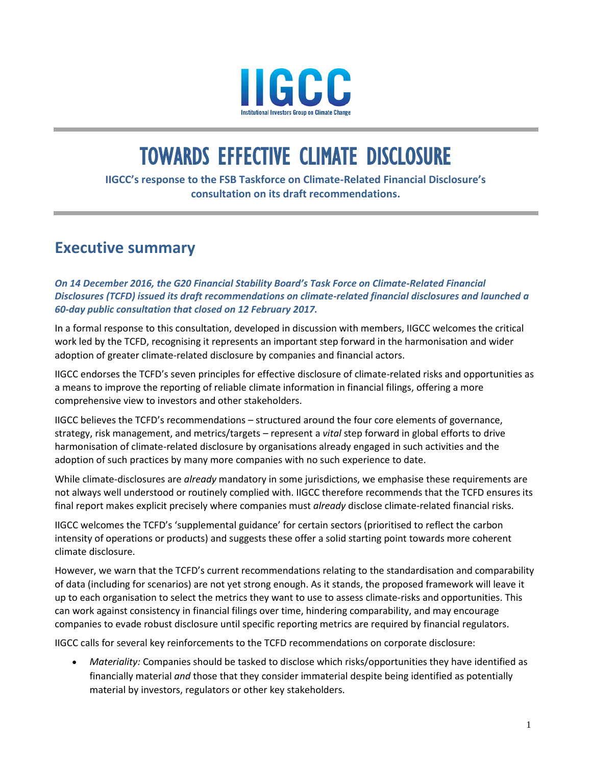

# TOWARDS EFFECTIVE CLIMATE DISCLOSURE

**IIGCC's response to the FSB Taskforce on Climate-Related Financial Disclosure's consultation on its draft recommendations.** 

# **Executive summary**

*On 14 December 2016, the G20 Financial Stability Board's Task Force on Climate-Related Financial Disclosures (TCFD) issued its draft recommendations on climate-related financial disclosures and launched a 60-day public consultation that closed on 12 February 2017.* 

In a formal response to this consultation, developed in discussion with members, IIGCC welcomes the critical work led by the TCFD, recognising it represents an important step forward in the harmonisation and wider adoption of greater climate-related disclosure by companies and financial actors.

IIGCC endorses the TCFD's seven principles for effective disclosure of climate-related risks and opportunities as a means to improve the reporting of reliable climate information in financial filings, offering a more comprehensive view to investors and other stakeholders.

IIGCC believes the TCFD's recommendations – structured around the four core elements of governance, strategy, risk management, and metrics/targets – represent a *vital* step forward in global efforts to drive harmonisation of climate-related disclosure by organisations already engaged in such activities and the adoption of such practices by many more companies with no such experience to date.

While climate-disclosures are *already* mandatory in some jurisdictions, we emphasise these requirements are not always well understood or routinely complied with. IIGCC therefore recommends that the TCFD ensures its final report makes explicit precisely where companies must *already* disclose climate-related financial risks.

IIGCC welcomes the TCFD's 'supplemental guidance' for certain sectors (prioritised to reflect the carbon intensity of operations or products) and suggests these offer a solid starting point towards more coherent climate disclosure.

However, we warn that the TCFD's current recommendations relating to the standardisation and comparability of data (including for scenarios) are not yet strong enough. As it stands, the proposed framework will leave it up to each organisation to select the metrics they want to use to assess climate-risks and opportunities. This can work against consistency in financial filings over time, hindering comparability, and may encourage companies to evade robust disclosure until specific reporting metrics are required by financial regulators.

IIGCC calls for several key reinforcements to the TCFD recommendations on corporate disclosure:

 *Materiality:* Companies should be tasked to disclose which risks/opportunities they have identified as financially material *and* those that they consider immaterial despite being identified as potentially material by investors, regulators or other key stakeholders.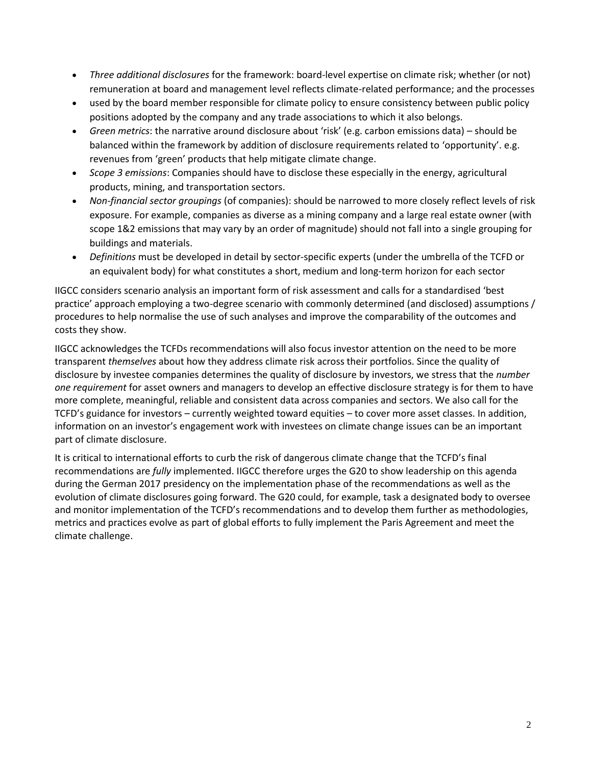- *Three additional disclosures* for the framework: board-level expertise on climate risk; whether (or not) remuneration at board and management level reflects climate-related performance; and the processes
- used by the board member responsible for climate policy to ensure consistency between public policy positions adopted by the company and any trade associations to which it also belongs.
- *Green metrics*: the narrative around disclosure about 'risk' (e.g. carbon emissions data) should be balanced within the framework by addition of disclosure requirements related to 'opportunity'. e.g. revenues from 'green' products that help mitigate climate change.
- *Scope 3 emissions*: Companies should have to disclose these especially in the energy, agricultural products, mining, and transportation sectors.
- *Non-financial sector groupings* (of companies): should be narrowed to more closely reflect levels of risk exposure. For example, companies as diverse as a mining company and a large real estate owner (with scope 1&2 emissions that may vary by an order of magnitude) should not fall into a single grouping for buildings and materials.
- *Definitions* must be developed in detail by sector-specific experts (under the umbrella of the TCFD or an equivalent body) for what constitutes a short, medium and long-term horizon for each sector

IIGCC considers scenario analysis an important form of risk assessment and calls for a standardised 'best practice' approach employing a two-degree scenario with commonly determined (and disclosed) assumptions / procedures to help normalise the use of such analyses and improve the comparability of the outcomes and costs they show.

IIGCC acknowledges the TCFDs recommendations will also focus investor attention on the need to be more transparent *themselves* about how they address climate risk across their portfolios. Since the quality of disclosure by investee companies determines the quality of disclosure by investors, we stress that the *number one requirement* for asset owners and managers to develop an effective disclosure strategy is for them to have more complete, meaningful, reliable and consistent data across companies and sectors. We also call for the TCFD's guidance for investors – currently weighted toward equities – to cover more asset classes. In addition, information on an investor's engagement work with investees on climate change issues can be an important part of climate disclosure.

It is critical to international efforts to curb the risk of dangerous climate change that the TCFD's final recommendations are *fully* implemented. IIGCC therefore urges the G20 to show leadership on this agenda during the German 2017 presidency on the implementation phase of the recommendations as well as the evolution of climate disclosures going forward. The G20 could, for example, task a designated body to oversee and monitor implementation of the TCFD's recommendations and to develop them further as methodologies, metrics and practices evolve as part of global efforts to fully implement the Paris Agreement and meet the climate challenge.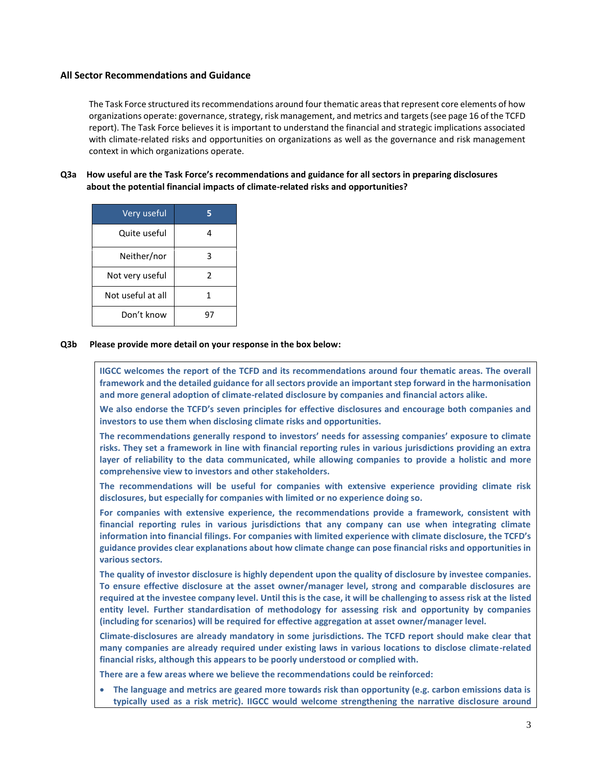#### **All Sector Recommendations and Guidance**

The Task Force structured its recommendations around four thematic areas that represent core elements of how organizations operate: governance, strategy, risk management, and metrics and targets (see page 16 of the TCFD report). The Task Force believes it is important to understand the financial and strategic implications associated with climate-related risks and opportunities on organizations as well as the governance and risk management context in which organizations operate.

**Q3a How useful are the Task Force's recommendations and guidance for all sectors in preparing disclosures about the potential financial impacts of climate-related risks and opportunities?**

| Very useful       |    |
|-------------------|----|
| Quite useful      |    |
| Neither/nor       |    |
| Not very useful   | 2  |
| Not useful at all |    |
| Don't know        | ч, |

**Q3b Please provide more detail on your response in the box below:**

**IIGCC welcomes the report of the TCFD and its recommendations around four thematic areas. The overall framework and the detailed guidance for all sectors provide an important step forward in the harmonisation and more general adoption of climate-related disclosure by companies and financial actors alike.** 

**We also endorse the TCFD's seven principles for effective disclosures and encourage both companies and investors to use them when disclosing climate risks and opportunities.**

**The recommendations generally respond to investors' needs for assessing companies' exposure to climate risks. They set a framework in line with financial reporting rules in various jurisdictions providing an extra layer of reliability to the data communicated, while allowing companies to provide a holistic and more comprehensive view to investors and other stakeholders.**

**The recommendations will be useful for companies with extensive experience providing climate risk disclosures, but especially for companies with limited or no experience doing so.**

**For companies with extensive experience, the recommendations provide a framework, consistent with financial reporting rules in various jurisdictions that any company can use when integrating climate information into financial filings. For companies with limited experience with climate disclosure, the TCFD's guidance provides clear explanations about how climate change can pose financial risks and opportunities in various sectors.**

**The quality of investor disclosure is highly dependent upon the quality of disclosure by investee companies. To ensure effective disclosure at the asset owner/manager level, strong and comparable disclosures are required at the investee company level. Until this is the case, it will be challenging to assess risk at the listed entity level. Further standardisation of methodology for assessing risk and opportunity by companies (including for scenarios) will be required for effective aggregation at asset owner/manager level.**

**Climate-disclosures are already mandatory in some jurisdictions. The TCFD report should make clear that many companies are already required under existing laws in various locations to disclose climate-related financial risks, although this appears to be poorly understood or complied with.**

**There are a few areas where we believe the recommendations could be reinforced:**

 **The language and metrics are geared more towards risk than opportunity (e.g. carbon emissions data is typically used as a risk metric). IIGCC would welcome strengthening the narrative disclosure around**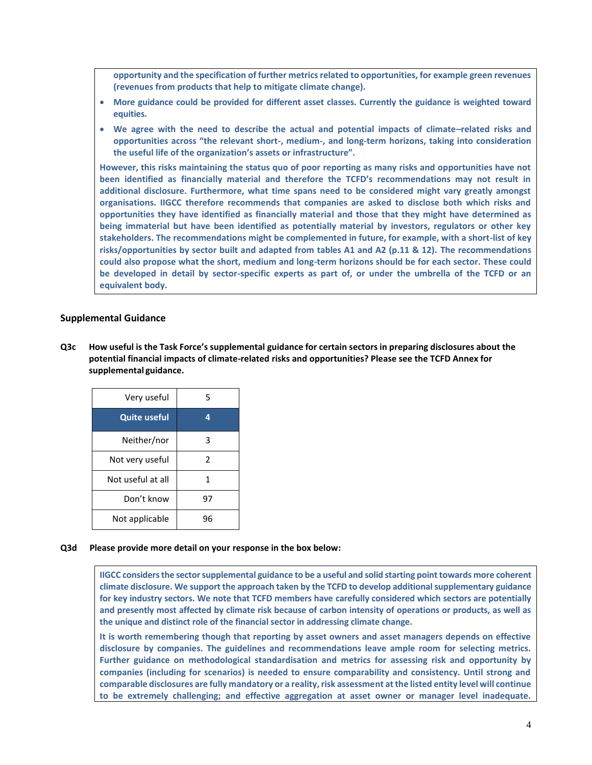**opportunity and the specification of further metrics related to opportunities, for example green revenues (revenues from products that help to mitigate climate change).**

- **More guidance could be provided for different asset classes. Currently the guidance is weighted toward equities.**
- **We agree with the need to describe the actual and potential impacts of climate–related risks and opportunities across "the relevant short-, medium-, and long-term horizons, taking into consideration the useful life of the organization's assets or infrastructure".**

**However, this risks maintaining the status quo of poor reporting as many risks and opportunities have not been identified as financially material and therefore the TCFD's recommendations may not result in additional disclosure. Furthermore, what time spans need to be considered might vary greatly amongst organisations. IIGCC therefore recommends that companies are asked to disclose both which risks and opportunities they have identified as financially material and those that they might have determined as being immaterial but have been identified as potentially material by investors, regulators or other key stakeholders. The recommendations might be complemented in future, for example, with a short-list of key risks/opportunities by sector built and adapted from tables A1 and A2 (p.11 & 12). The recommendations could also propose what the short, medium and long-term horizons should be for each sector. These could be developed in detail by sector-specific experts as part of, or under the umbrella of the TCFD or an equivalent body.**

### **Supplemental Guidance**

Q3c How useful is the Task Force's supplemental guidance for certain sectors in preparing disclosures about the **potential financial impacts of climate-related risks and opportunities? Please see the TCFD Annex for supplemental guidance.**

| Very useful         | 5  |
|---------------------|----|
| <b>Quite useful</b> | 4  |
| Neither/nor         | ੨  |
| Not very useful     | 2  |
| Not useful at all   | 1  |
| Don't know          | 97 |
| Not applicable      | 96 |

**Q3d Please provide more detail on your response in the box below:**

**IIGCC considers the sector supplemental guidance to be a useful and solid starting point towards more coherent climate disclosure. We support the approach taken by the TCFD to develop additional supplementary guidance for key industry sectors. We note that TCFD members have carefully considered which sectors are potentially and presently most affected by climate risk because of carbon intensity of operations or products, as well as the unique and distinct role of the financial sector in addressing climate change.**

**It is worth remembering though that reporting by asset owners and asset managers depends on effective disclosure by companies. The guidelines and recommendations leave ample room for selecting metrics. Further guidance on methodological standardisation and metrics for assessing risk and opportunity by companies (including for scenarios) is needed to ensure comparability and consistency. Until strong and comparable disclosures are fully mandatory or a reality, risk assessment at the listed entity level will continue to be extremely challenging; and effective aggregation at asset owner or manager level inadequate.**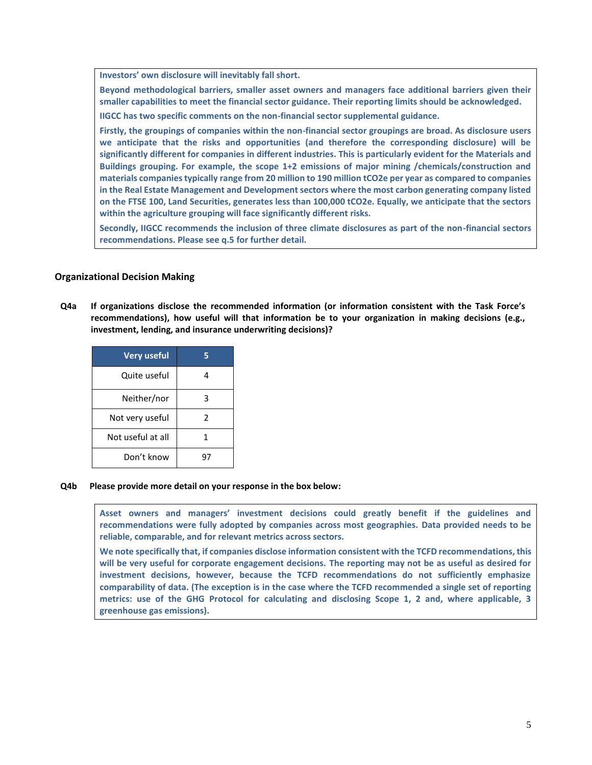**Investors' own disclosure will inevitably fall short.**

**Beyond methodological barriers, smaller asset owners and managers face additional barriers given their smaller capabilities to meet the financial sector guidance. Their reporting limits should be acknowledged.** 

**IIGCC has two specific comments on the non-financial sector supplemental guidance.**

**Firstly, the groupings of companies within the non-financial sector groupings are broad. As disclosure users we anticipate that the risks and opportunities (and therefore the corresponding disclosure) will be significantly different for companies in different industries. This is particularly evident for the Materials and Buildings grouping. For example, the scope 1+2 emissions of major mining /chemicals/construction and materials companies typically range from 20 million to 190 million tCO2e per year as compared to companies in the Real Estate Management and Development sectors where the most carbon generating company listed on the FTSE 100, Land Securities, generates less than 100,000 tCO2e. Equally, we anticipate that the sectors within the agriculture grouping will face significantly different risks.** 

**Secondly, IIGCC recommends the inclusion of three climate disclosures as part of the non-financial sectors recommendations. Please see q.5 for further detail.**

### **Organizational Decision Making**

**Q4a If organizations disclose the recommended information (or information consistent with the Task Force's recommendations), how useful will that information be to your organization in making decisions (e.g., investment, lending, and insurance underwriting decisions)?**

| <b>Very useful</b> |   |
|--------------------|---|
| Quite useful       |   |
| Neither/nor        | ੨ |
| Not very useful    | 2 |
| Not useful at all  | 1 |
| Don't know         |   |

**Q4b Please provide more detail on your response in the box below:**

**Asset owners and managers' investment decisions could greatly benefit if the guidelines and recommendations were fully adopted by companies across most geographies. Data provided needs to be reliable, comparable, and for relevant metrics across sectors.** 

**We note specifically that, if companies disclose information consistent with the TCFD recommendations, this will be very useful for corporate engagement decisions. The reporting may not be as useful as desired for investment decisions, however, because the TCFD recommendations do not sufficiently emphasize comparability of data. (The exception is in the case where the TCFD recommended a single set of reporting metrics: use of the GHG Protocol for calculating and disclosing Scope 1, 2 and, where applicable, 3 greenhouse gas emissions).**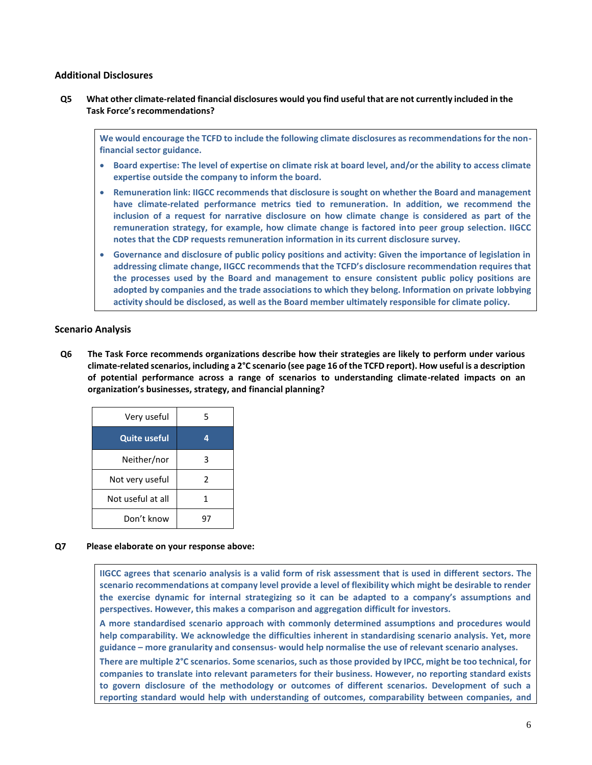# **Additional Disclosures**

Q5 What other climate-related financial disclosures would you find useful that are not currently included in the **Task Force'srecommendations?**

**We would encourage the TCFD to include the following climate disclosures as recommendations for the nonfinancial sector guidance.** 

- **Board expertise: The level of expertise on climate risk at board level, and/or the ability to access climate expertise outside the company to inform the board.**
- **Remuneration link: IIGCC recommends that disclosure is sought on whether the Board and management have climate-related performance metrics tied to remuneration. In addition, we recommend the inclusion of a request for narrative disclosure on how climate change is considered as part of the remuneration strategy, for example, how climate change is factored into peer group selection. IIGCC notes that the CDP requests remuneration information in its current disclosure survey.**
- **Governance and disclosure of public policy positions and activity: Given the importance of legislation in addressing climate change, IIGCC recommends that the TCFD's disclosure recommendation requires that the processes used by the Board and management to ensure consistent public policy positions are adopted by companies and the trade associations to which they belong. Information on private lobbying activity should be disclosed, as well as the Board member ultimately responsible for climate policy.**

# **Scenario Analysis**

**Q6 The Task Force recommends organizations describe how their strategies are likely to perform under various climate-related scenarios, including a 2°C scenario (see page 16 of the TCFD report). How useful is a description of potential performance across a range of scenarios to understanding climate-related impacts on an organization's businesses, strategy, and financial planning?**

| Very useful         | 5 |
|---------------------|---|
| <b>Quite useful</b> | 4 |
| Neither/nor         | ٦ |
| Not very useful     | 2 |
| Not useful at all   | 1 |
| Don't know          |   |

#### **Q7 Please elaborate on your response above:**

**IIGCC agrees that scenario analysis is a valid form of risk assessment that is used in different sectors. The scenario recommendations at company level provide a level of flexibility which might be desirable to render the exercise dynamic for internal strategizing so it can be adapted to a company's assumptions and perspectives. However, this makes a comparison and aggregation difficult for investors.** 

**A more standardised scenario approach with commonly determined assumptions and procedures would help comparability. We acknowledge the difficulties inherent in standardising scenario analysis. Yet, more guidance – more granularity and consensus- would help normalise the use of relevant scenario analyses.** 

**There are multiple 2°C scenarios. Some scenarios, such as those provided by IPCC, might be too technical, for companies to translate into relevant parameters for their business. However, no reporting standard exists to govern disclosure of the methodology or outcomes of different scenarios. Development of such a reporting standard would help with understanding of outcomes, comparability between companies, and**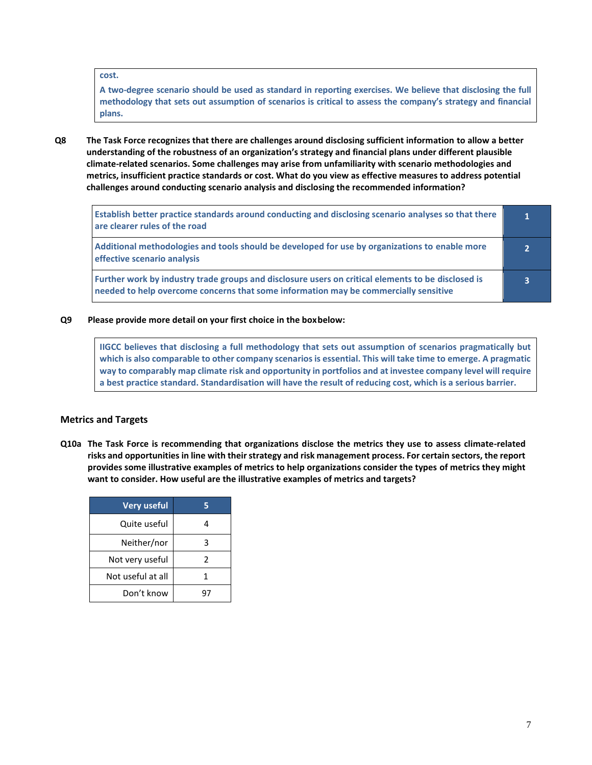#### **cost.**

**A two-degree scenario should be used as standard in reporting exercises. We believe that disclosing the full methodology that sets out assumption of scenarios is critical to assess the company's strategy and financial plans.**

**Q8 The Task Force recognizes that there are challenges around disclosing sufficient information to allow a better understanding of the robustness of an organization's strategy and financial plans under different plausible climate-related scenarios. Some challenges may arise from unfamiliarity with scenario methodologies and metrics, insufficient practice standards or cost. What do you view as effective measures to address potential challenges around conducting scenario analysis and disclosing the recommended information?**

| Establish better practice standards around conducting and disclosing scenario analyses so that there<br>are clearer rules of the road                                                      | 1. |
|--------------------------------------------------------------------------------------------------------------------------------------------------------------------------------------------|----|
| Additional methodologies and tools should be developed for use by organizations to enable more<br>effective scenario analysis                                                              | ∍  |
| Further work by industry trade groups and disclosure users on critical elements to be disclosed is<br>needed to help overcome concerns that some information may be commercially sensitive | 3  |

**Q9 Please provide more detail on your first choice in the boxbelow:**

**IIGCC believes that disclosing a full methodology that sets out assumption of scenarios pragmatically but which is also comparable to other company scenarios is essential. This will take time to emerge. A pragmatic way to comparably map climate risk and opportunity in portfolios and at investee company level will require a best practice standard. Standardisation will have the result of reducing cost, which is a serious barrier.** 

### **Metrics and Targets**

**Q10a The Task Force is recommending that organizations disclose the metrics they use to assess climate-related risks and opportunities in line with their strategy and risk management process. For certain sectors, the report provides some illustrative examples of metrics to help organizations consider the types of metrics they might want to consider. How useful are the illustrative examples of metrics and targets?**

| <b>Very useful</b> |   |
|--------------------|---|
| Quite useful       |   |
| Neither/nor        |   |
| Not very useful    | 2 |
| Not useful at all  |   |
| Don't know         |   |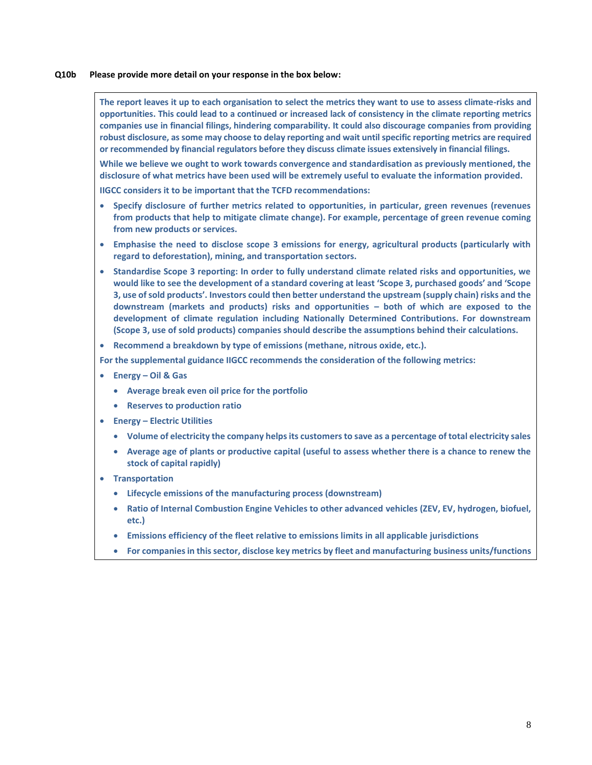#### **Q10b Please provide more detail on your response in the box below:**

**The report leaves it up to each organisation to select the metrics they want to use to assess climate-risks and opportunities. This could lead to a continued or increased lack of consistency in the climate reporting metrics companies use in financial filings, hindering comparability. It could also discourage companies from providing robust disclosure, as some may choose to delay reporting and wait until specific reporting metrics are required or recommended by financial regulators before they discuss climate issues extensively in financial filings.**

**While we believe we ought to work towards convergence and standardisation as previously mentioned, the disclosure of what metrics have been used will be extremely useful to evaluate the information provided.** 

**IIGCC considers it to be important that the TCFD recommendations:** 

- **Specify disclosure of further metrics related to opportunities, in particular, green revenues (revenues from products that help to mitigate climate change). For example, percentage of green revenue coming from new products or services.**
- **Emphasise the need to disclose scope 3 emissions for energy, agricultural products (particularly with regard to deforestation), mining, and transportation sectors.**
- **Standardise Scope 3 reporting: In order to fully understand climate related risks and opportunities, we would like to see the development of a standard covering at least 'Scope 3, purchased goods' and 'Scope 3, use of sold products'. Investors could then better understand the upstream (supply chain) risks and the downstream (markets and products) risks and opportunities – both of which are exposed to the development of climate regulation including Nationally Determined Contributions. For downstream (Scope 3, use of sold products) companies should describe the assumptions behind their calculations.**
- **Recommend a breakdown by type of emissions (methane, nitrous oxide, etc.).**

**For the supplemental guidance IIGCC recommends the consideration of the following metrics:** 

- **Energy – Oil & Gas**
	- **Average break even oil price for the portfolio**
	- **Reserves to production ratio**
- **Energy – Electric Utilities** 
	- **Volume of electricity the company helps its customers to save as a percentage of total electricity sales**
	- **Average age of plants or productive capital (useful to assess whether there is a chance to renew the stock of capital rapidly)**
- **Transportation** 
	- **Lifecycle emissions of the manufacturing process (downstream)**
	- **Ratio of Internal Combustion Engine Vehicles to other advanced vehicles (ZEV, EV, hydrogen, biofuel, etc.)**
	- **Emissions efficiency of the fleet relative to emissions limits in all applicable jurisdictions**
	- **For companies in this sector, disclose key metrics by fleet and manufacturing business units/functions**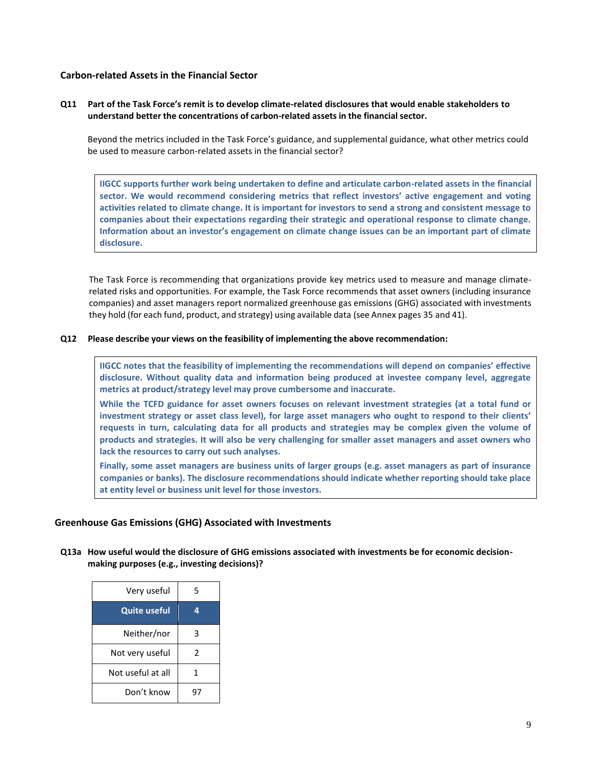# **Carbon-related Assets in the Financial Sector**

### **Q11 Part of the Task Force's remit is to develop climate-related disclosures that would enable stakeholders to understand better the concentrations of carbon-related assets in the financial sector.**

Beyond the metrics included in the Task Force's guidance, and supplemental guidance, what other metrics could be used to measure carbon-related assets in the financial sector?

**IIGCC supports further work being undertaken to define and articulate carbon-related assets in the financial sector. We would recommend considering metrics that reflect investors' active engagement and voting activities related to climate change. It is important for investors to send a strong and consistent message to companies about their expectations regarding their strategic and operational response to climate change. Information about an investor's engagement on climate change issues can be an important part of climate disclosure.** 

The Task Force is recommending that organizations provide key metrics used to measure and manage climaterelated risks and opportunities. For example, the Task Force recommends that asset owners (including insurance companies) and asset managers report normalized greenhouse gas emissions (GHG) associated with investments they hold (for each fund, product, and strategy) using available data (see Annex pages 35 and 41).

#### **Q12 Please describe your views on the feasibility of implementing the above recommendation:**

**IIGCC notes that the feasibility of implementing the recommendations will depend on companies' effective disclosure. Without quality data and information being produced at investee company level, aggregate metrics at product/strategy level may prove cumbersome and inaccurate.** 

**While the TCFD guidance for asset owners focuses on relevant investment strategies (at a total fund or investment strategy or asset class level), for large asset managers who ought to respond to their clients' requests in turn, calculating data for all products and strategies may be complex given the volume of products and strategies. It will also be very challenging for smaller asset managers and asset owners who lack the resources to carry out such analyses.** 

**Finally, some asset managers are business units of larger groups (e.g. asset managers as part of insurance companies or banks). The disclosure recommendations should indicate whether reporting should take place at entity level or business unit level for those investors.**

### **Greenhouse Gas Emissions (GHG) Associated with Investments**

**Q13a How useful would the disclosure of GHG emissions associated with investments be for economic decisionmaking purposes (e.g., investing decisions)?**

| Very useful         | 5 |
|---------------------|---|
| <b>Quite useful</b> | 4 |
| Neither/nor         | 3 |
| Not very useful     | 2 |
| Not useful at all   | 1 |
| Don't know          |   |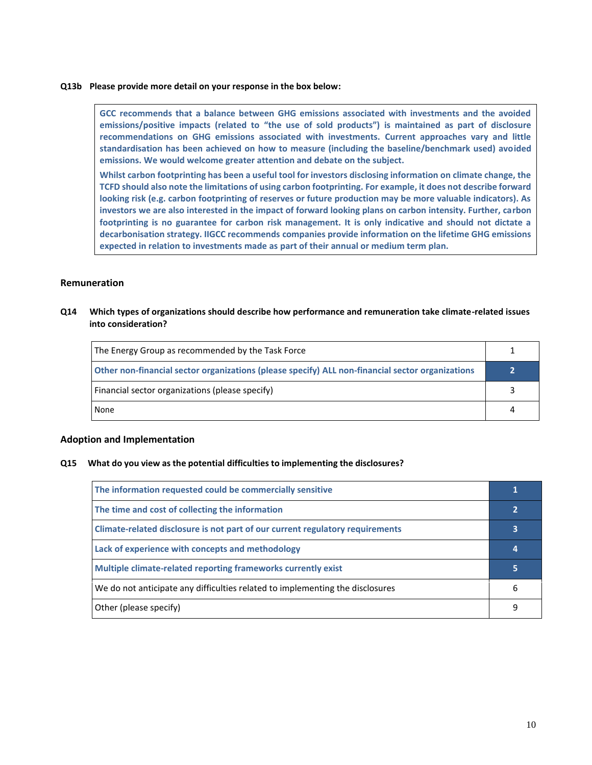#### **Q13b Please provide more detail on your response in the box below:**

**GCC recommends that a balance between GHG emissions associated with investments and the avoided emissions/positive impacts (related to "the use of sold products") is maintained as part of disclosure recommendations on GHG emissions associated with investments. Current approaches vary and little standardisation has been achieved on how to measure (including the baseline/benchmark used) avoided emissions. We would welcome greater attention and debate on the subject.** 

**Whilst carbon footprinting has been a useful tool for investors disclosing information on climate change, the TCFD should also note the limitations of using carbon footprinting. For example, it does not describe forward looking risk (e.g. carbon footprinting of reserves or future production may be more valuable indicators). As investors we are also interested in the impact of forward looking plans on carbon intensity. Further, carbon footprinting is no guarantee for carbon risk management. It is only indicative and should not dictate a decarbonisation strategy. IIGCC recommends companies provide information on the lifetime GHG emissions expected in relation to investments made as part of their annual or medium term plan.**

#### **Remuneration**

**Q14 Which types of organizations should describe how performance and remuneration take climate-related issues into consideration?**

| The Energy Group as recommended by the Task Force                                                |  |
|--------------------------------------------------------------------------------------------------|--|
| Other non-financial sector organizations (please specify) ALL non-financial sector organizations |  |
| [Financial sector organizations (please specify)                                                 |  |
| None                                                                                             |  |

### **Adoption and Implementation**

#### **Q15 What do you view as the potential difficulties to implementing the disclosures?**

| The information requested could be commercially sensitive                     |   |
|-------------------------------------------------------------------------------|---|
| The time and cost of collecting the information                               |   |
| Climate-related disclosure is not part of our current regulatory requirements | 3 |
| Lack of experience with concepts and methodology                              | 4 |
| Multiple climate-related reporting frameworks currently exist                 | 5 |
| We do not anticipate any difficulties related to implementing the disclosures | 6 |
| Other (please specify)                                                        |   |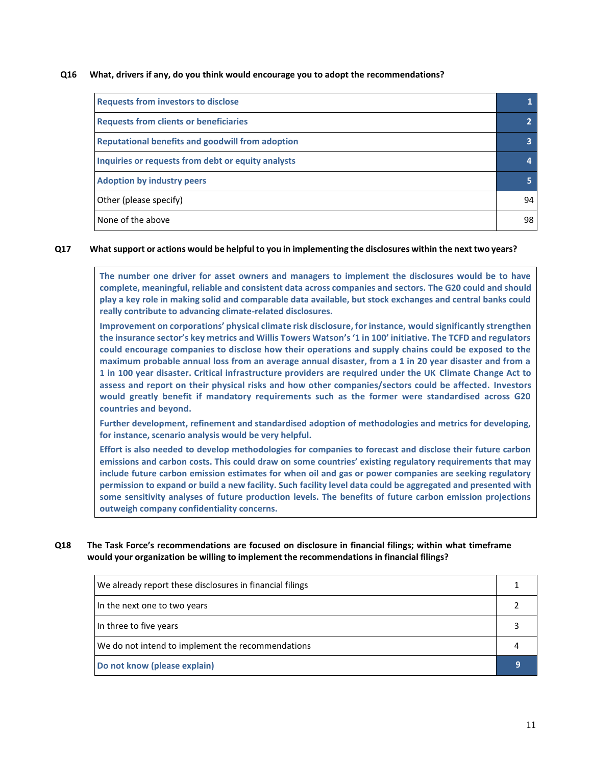#### **Q16 What, drivers if any, do you think would encourage you to adopt the recommendations?**

| <b>Requests from investors to disclose</b>              |             |
|---------------------------------------------------------|-------------|
| <b>Requests from clients or beneficiaries</b>           | $2^{\circ}$ |
| <b>Reputational benefits and goodwill from adoption</b> | 3           |
| Inquiries or requests from debt or equity analysts      | 4           |
| <b>Adoption by industry peers</b>                       | 5           |
| Other (please specify)                                  | 94          |
| None of the above                                       | 98          |

#### Q17 What support or actions would be helpful to you in implementing the disclosures within the next two years?

**The number one driver for asset owners and managers to implement the disclosures would be to have complete, meaningful, reliable and consistent data across companies and sectors. The G20 could and should play a key role in making solid and comparable data available, but stock exchanges and central banks could really contribute to advancing climate-related disclosures.** 

**Improvement on corporations' physical climate risk disclosure, for instance, would significantly strengthen the insurance sector's key metrics and Willis Towers Watson's '1 in 100' initiative. The TCFD and regulators could encourage companies to disclose how their operations and supply chains could be exposed to the maximum probable annual loss from an average annual disaster, from a 1 in 20 year disaster and from a 1 in 100 year disaster. Critical infrastructure providers are required under the UK Climate Change Act to assess and report on their physical risks and how other companies/sectors could be affected. Investors would greatly benefit if mandatory requirements such as the former were standardised across G20 countries and beyond.**

**Further development, refinement and standardised adoption of methodologies and metrics for developing, for instance, scenario analysis would be very helpful.** 

**Effort is also needed to develop methodologies for companies to forecast and disclose their future carbon emissions and carbon costs. This could draw on some countries' existing regulatory requirements that may include future carbon emission estimates for when oil and gas or power companies are seeking regulatory permission to expand or build a new facility. Such facility level data could be aggregated and presented with some sensitivity analyses of future production levels. The benefits of future carbon emission projections outweigh company confidentiality concerns.**

**Q18 The Task Force's recommendations are focused on disclosure in financial filings; within what timeframe would your organization be willing to implement the recommendations in financial filings?**

| We already report these disclosures in financial filings |  |
|----------------------------------------------------------|--|
| In the next one to two years                             |  |
| In three to five years                                   |  |
| We do not intend to implement the recommendations        |  |
| Do not know (please explain)                             |  |
|                                                          |  |